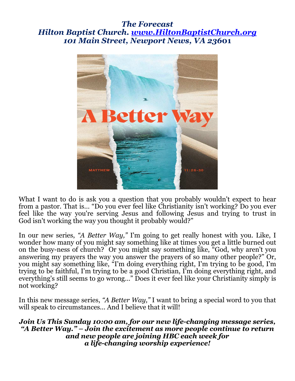#### *The Forecast Hilton Baptist Church. www.HiltonBaptistChurch.org 101 Main Street, Newport News, VA 236***01**



From a pastor. That is... Do you ever feel like emistiality isn't working: Do you ever<br>feel like the way you're serving Jesus and following Jesus and trying to trust in What I want to do is ask you a question that you probably wouldn't expect to hear from a pastor. That is… "Do you ever feel like Christianity isn't working? Do you ever God isn't working the way you thought it probably would?"

In our new series, *"A Better Way,"* I'm going to get really honest with you. Like, I wonder how many of you might say something like at times you get a little burned out on the busy-ness of church? Or you might say something like, "God, why aren't you answering my prayers the way you answer the prayers of so many other people?" Or, you might say something like, "I'm doing everything right, I'm trying to be good, I'm trying to be faithful, I'm trying to be a good Christian, I'm doing everything right, and everything's still seems to go wrong…" Does it ever feel like your Christianity simply is not working?

In this new message series, *"A Better Way,"* I want to bring a special word to you that will speak to circumstances... And I believe that it will!

*Join Us This Sunday 10:00 am, for our new life-changing message series, "A Better Way." – Join the excitement as more people continue to return and new people are joining HBC each week for a life-changing worship experience!*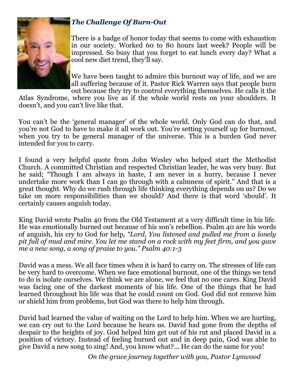

#### *The Challenge Of Burn-Out*

There is a badge of honor today that seems to come with exhaustion in our society. Worked 60 to 80 hours last week? People will be impressed. So busy that you forget to eat lunch every day? What a cool new diet trend, they'll say.

We have been taught to admire this burnout way of life, and we are all suffering because of it. Pastor Rick Warren says that people burn out because they try to control everything themselves. He calls it the

Atlas Syndrome, where you live as if the whole world rests on your shoulders. It doesn't, and you can't live like that.

You can't be the 'general manager' of the whole world. Only God can do that, and you're not God to have to make it all work out. You're setting yourself up for burnout, when you try to be general manager of the universe. This is a burden God never intended for you to carry.

I found a very helpful quote from John Wesley who helped start the Methodist Church. A committed Christian and respected Christian leader, he was very busy. But he said; "Though I am always in haste, I am never in a hurry, because I never undertake more work than I can go through with a calmness of spirit." And that is a great thought. Why do we rush through life thinking everything depends on us? Do we take on more responsibilities than we should? And there is that word 'should'. It certainly causes anguish today.

King David wrote Psalm 40 from the Old Testament at a very difficult time in his life. He was emotionally burned out because of his son's rebellion. Psalm 40 are his words of anguish, his cry to God for help*, "Lord, You listened and pulled me from a lonely pit full of mud and mire. You let me stand on a rock with my feet firm, and you gave me a new song, a song of praise to you." Psalm 40:1-3* 

 $T_{\text{SVD},\text{DMS}}$  out south David was a mess. We all face times when it is hard to carry on. The stresses of life can be very hard to overcome. When we face emotional burnout, one of the things we tend to do is isolate ourselves. We think we are alone, we feel that no one cares. King David was facing one of the darkest moments of his life. One of the things that he had learned throughout his life was that he could count on God. God did not remove him or shield him from problems, but God was there to help him through.

David had learned the value of waiting on the Lord to help him. When we are hurting, we can cry out to the Lord because he hears us. David had gone from the depths of despair to the heights of joy. God helped him get out of his rut and placed David in a position of victory. Instead of feeling burned out and in deep pain, God was able to give David a new song to sing! And, you know what?... He can do the same for you!

*On the grace journey together with you, Pastor Lynwood*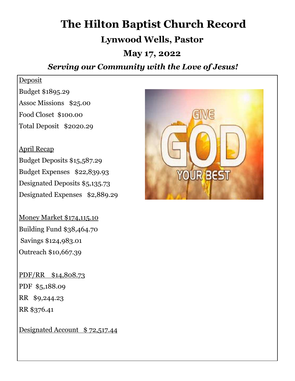# **The Hilton Baptist Church Record**

# **Lynwood Wells, Pastor**

# **May 17, 2022**

# *Serving our Community with the Love of Jesus!*

#### Deposit

Budget \$1895.29 Assoc Missions \$25.00 Food Closet \$100.00 Total Deposit \$2020.29

April Recap Budget Deposits \$15,587.29 Budget Expenses \$22,839.93 Designated Deposits \$5,135.73 Designated Expenses \$2,889.29

Money Market \$174,115.10 Building Fund \$38,464.70 Savings \$124,983.01 Outreach \$10,667.39

PDF/RR \$14,808.73 PDF \$5,188.09 RR \$9,244.23 RR \$376.41

Designated Account \$ 72,517.44

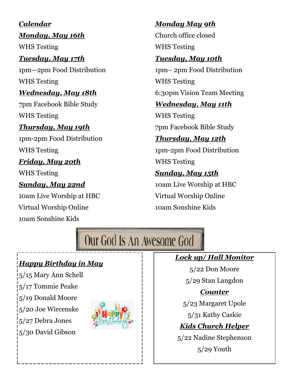*Calendar Monday, May 16th*  WHS Testing *Tuesday, May 17th*  1pm—2pm Food Distribution WHS Testing *Wednesday, May 18th*  7pm Facebook Bible Study WHS Testing *Thursday, May 19th*  1pm-2pm Food Distribution WHS Testing *Friday, May 20th*  WHS Testing *Sunday, May 22nd*  10am Live Worship at HBC Virtual Worship Online 10am Sonshine Kids

# *Monday May 9th*

Church office closed WHS Testing

## *Tuesday, May 10th*

1pm– 2pm Food Distribution WHS Testing 6:30pm Vision Team Meeting

# *Wednesday, May 11th*

WHS Testing 7pm Facebook Bible Study

# *Thursday, May 12th*

1pm-2pm Food Distribution WHS Testing

# *Sunday, May 15th*

10am Live Worship at HBC Virtual Worship Online 10am Sonshine Kids

# Our God Is An Awesome God

# *Happy Birthday in May*

5/15 Mary Ann Schell 5/17 Tommie Peake 5/19 Donald Moore 5/20 Joe Wircenske 5/27 Debra Jones 5/30 David Gibson



# *Lock up/ Hall Monitor*

5/22 Don Moore

5/29 Stan Langdon

# *Counter*

5/23 Margaret Upole

5/31 Kathy Caskie

# *Kids Church Helper*

5/22 Nadine Stephenson 5/29 Youth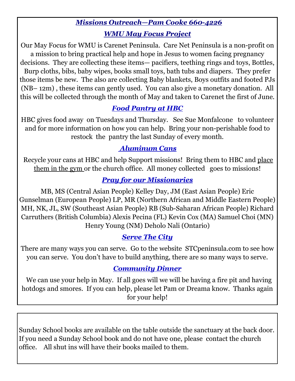# *Missions Outreach—Pam Cooke 660-4226 WMU May Focus Project*

Our May Focus for WMU is Carenet Peninsula. Care Net Peninsula is a non-profit on a mission to bring practical help and hope in Jesus to women facing pregnancy decisions. They are collecting these items— pacifiers, teething rings and toys, Bottles, Burp cloths, bibs, baby wipes, books small toys, bath tubs and diapers. They prefer those items be new. The also are collecting Baby blankets, Boys outfits and footed PJs (NB– 12m) , these items can gently used. You can also give a monetary donation. All this will be collected through the month of May and taken to Carenet the first of June.

# *Food Pantry at HBC*

HBC gives food away on Tuesdays and Thursday. See Sue Monfalcone to volunteer and for more information on how you can help. Bring your non-perishable food to restock the pantry the last Sunday of every month.

## *Aluminum Cans*

 Recycle your cans at HBC and help Support missions! Bring them to HBC and place them in the gym or the church office. All money collected goes to missions!

## *Pray for our Missionaries*

MB, MS (Central Asian People) Kelley Day, JM (East Asian People) Eric Gunselman (European People) LP, MR (Northern African and Middle Eastern People) MH, NK, JL, SW (Southeast Asian People) RB (Sub-Saharan African People) Richard Carruthers (British Columbia) Alexis Pecina (FL) Kevin Cox (MA) Samuel Choi (MN) Henry Young (NM) Deholo Nali (Ontario)

#### *Serve The City*

There are many ways you can serve. Go to the website STCpeninsula.com to see how you can serve. You don't have to build anything, there are so many ways to serve.

#### *Community Dinner*

 We can use your help in May. If all goes will we will be having a fire pit and having hotdogs and smores. If you can help, please let Pam or Dreama know. Thanks again for your help!

Sunday School books are available on the table outside the sanctuary at the back door. If you need a Sunday School book and do not have one, please contact the church office. All shut ins will have their books mailed to them.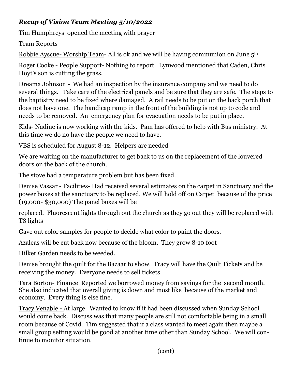## *Recap of Vision Team Meeting 5/10/2022*

Tim Humphreys opened the meeting with prayer

Team Reports

Robbie Ayscue- Worship Team- All is ok and we will be having communion on June 5<sup>th</sup>

Roger Cooke - People Support- Nothing to report. Lynwood mentioned that Caden, Chris Hoyt's son is cutting the grass.

Dreama Johnson - We had an inspection by the insurance company and we need to do several things. Take care of the electrical panels and be sure that they are safe. The steps to the baptistry need to be fixed where damaged. A rail needs to be put on the back porch that does not have one. The handicap ramp in the front of the building is not up to code and needs to be removed. An emergency plan for evacuation needs to be put in place.

Kids- Nadine is now working with the kids. Pam has offered to help with Bus ministry. At this time we do no have the people we need to have.

VBS is scheduled for August 8-12. Helpers are needed

We are waiting on the manufacturer to get back to us on the replacement of the louvered doors on the back of the church.

The stove had a temperature problem but has been fixed.

Denise Vassar - Facilities- Had received several estimates on the carpet in Sanctuary and the power boxes at the sanctuary to be replaced. We will hold off on Carpet because of the price (19,000- \$30,000) The panel boxes will be

replaced. Fluorescent lights through out the church as they go out they will be replaced with T8 lights

Gave out color samples for people to decide what color to paint the doors.

Azaleas will be cut back now because of the bloom. They grow 8-10 foot

Hilker Garden needs to be weeded.

Denise brought the quilt for the Bazaar to show. Tracy will have the Quilt Tickets and be receiving the money. Everyone needs to sell tickets

Tara Borton- Finance Reported we borrowed money from savings for the second month. She also indicated that overall giving is down and most like because of the market and economy. Every thing is else fine.

Tracy Venable - At large Wanted to know if it had been discussed when Sunday School would come back. Discuss was that many people are still not comfortable being in a small room because of Covid. Tim suggested that if a class wanted to meet again then maybe a small group setting would be good at another time other than Sunday School. We will continue to monitor situation.

(cont)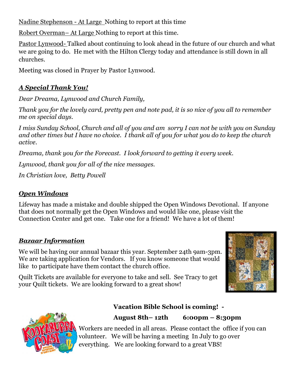Nadine Stephenson - At Large Nothing to report at this time

Robert Overman– At Large Nothing to report at this time.

Pastor Lynwood- Talked about continuing to look ahead in the future of our church and what we are going to do. He met with the Hilton Clergy today and attendance is still down in all churches.

Meeting was closed in Prayer by Pastor Lynwood.

#### *A Special Thank You!*

*Dear Dreama, Lynwood and Church Family,* 

*Thank you for the lovely card, pretty pen and note pad, it is so nice of you all to remember me on special days.* 

*I miss Sunday School, Church and all of you and am sorry I can not be with you on Sunday and other times but I have no choice. I thank all of you for what you do to keep the church active.* 

*Dreama, thank you for the Forecast. I look forward to getting it every week.* 

*Lynwood, thank you for all of the nice messages.* 

*In Christian love, Betty Powell* 

#### *Open Windows*

Lifeway has made a mistake and double shipped the Open Windows Devotional. If anyone that does not normally get the Open Windows and would like one, please visit the Connection Center and get one. Take one for a friend! We have a lot of them!

#### *Bazaar Information*

We will be having our annual bazaar this year. September 24th 9am-3pm. We are taking application for Vendors. If you know someone that would like to participate have them contact the church office.

Quilt Tickets are available for everyone to take and sell. See Tracy to get your Quilt tickets. We are looking forward to a great show!





#### **Vacation Bible School is coming! -**

#### **August 8th– 12th 6:00pm – 8:30pm**

Workers are needed in all areas. Please contact the office if you can volunteer. We will be having a meeting In July to go over everything. We are looking forward to a great VBS!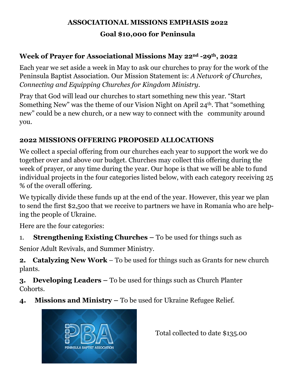# **ASSOCIATIONAL MISSIONS EMPHASIS 2022**

#### **Goal \$10,000 for Peninsula**

#### **Week of Prayer for Associational Missions May 22nd -29th, 2022**

Each year we set aside a week in May to ask our churches to pray for the work of the Peninsula Baptist Association. Our Mission Statement is: *A Network of Churches, Connecting and Equipping Churches for Kingdom Ministry.* 

Pray that God will lead our churches to start something new this year. "Start Something New" was the theme of our Vision Night on April 24th. That "something new" could be a new church, or a new way to connect with the community around you.

#### **2022 MISSIONS OFFERING PROPOSED ALLOCATIONS**

We collect a special offering from our churches each year to support the work we do together over and above our budget. Churches may collect this offering during the week of prayer, or any time during the year. Our hope is that we will be able to fund individual projects in the four categories listed below, with each category receiving 25 % of the overall offering.

We typically divide these funds up at the end of the year. However, this year we plan to send the first \$2,500 that we receive to partners we have in Romania who are helping the people of Ukraine.

Here are the four categories:

1. **Strengthening Existing Churches –** To be used for things such as

Senior Adult Revivals, and Summer Ministry.

**2. Catalyzing New Work** – To be used for things such as Grants for new church plants.

**3. Developing Leaders –** To be used for things such as Church Planter Cohorts.

**4. Missions and Ministry –** To be used for Ukraine Refugee Relief.



Total collected to date \$135.00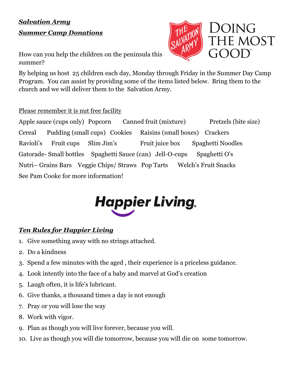# *Salvation Army Summer Camp Donations*

How can you help the children on the peninsula this summer?

By helping us host 25 children each day, Monday through Friday in the Summer Day Camp Program. You can assist by providing some of the items listed below. Bring them to the church and we will deliver them to the Salvation Army.

#### Please remember it is nut free facility

Apple sauce (cups only) Popcorn Canned fruit (mixture) Pretzels (bite size) Cereal Pudding (small cups) Cookies Raisins (small boxes) Crackers Ravioli's Fruit cups Slim Jim's Fruit juice box Spaghetti Noodles Gatorade- Small bottles Spaghetti Sauce (can) Jell-O-cups Spaghetti O's Nutri– Grains Bars Veggie Chips/ Straws Pop Tarts Welch's Fruit Snacks See Pam Cooke for more information!



#### *Ten Rules for Happier Living*

- 1. Give something away with no strings attached.
- 2. Do a kindness
- 3. Spend a few minutes with the aged , their experience is a priceless guidance.
- 4. Look intently into the face of a baby and marvel at God's creation
- 5. Laugh often, it is life's lubricant.
- 6. Give thanks, a thousand times a day is not enough
- 7. Pray or you will lose the way
- 8. Work with vigor.
- 9. Plan as though you will live forever, because you will.
- 10. Live as though you will die tomorrow, because you will die on some tomorrow.

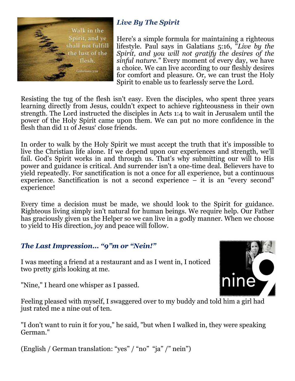

# *Live By The Spirit*

Here's a simple formula for maintaining a righteous lifestyle. Paul says in Galatians 5:16, "*Live by the Spirit, and you will not gratify the desires of the sinful nature."* Every moment of every day, we have a choice. We can live according to our fleshly desires for comfort and pleasure. Or, we can trust the Holy Spirit to enable us to fearlessly serve the Lord.

Resisting the tug of the flesh isn't easy. Even the disciples, who spent three years learning directly from Jesus, couldn't expect to achieve righteousness in their own strength. The Lord instructed the disciples in Acts 1:4 to wait in Jerusalem until the power of the Holy Spirit came upon them. We can put no more confidence in the flesh than did 11 of Jesus' close friends.

In order to walk by the Holy Spirit we must accept the truth that it's impossible to live the Christian life alone. If we depend upon our experiences and strength, we'll fail. God's Spirit works in and through us. That's why submitting our will to His power and guidance is critical. And surrender isn't a one-time deal. Believers have to yield repeatedly. For sanctification is not a once for all experience, but a continuous experience. Sanctification is not a second experience – it is an "every second" experience!

Every time a decision must be made, we should look to the Spirit for guidance. Righteous living simply isn't natural for human beings. We require help. Our Father has graciously given us the Helper so we can live in a godly manner. When we choose to yield to His direction, joy and peace will follow.

#### *The Last Impression… "9"m or "Nein!"*

I was meeting a friend at a restaurant and as I went in, I noticed two pretty girls looking at me.

"Nine," I heard one whisper as I passed.



Feeling pleased with myself, I swaggered over to my buddy and told him a girl had just rated me a nine out of ten.

"I don't want to ruin it for you," he said, "but when I walked in, they were speaking German."

(English / German translation: "yes" / "no" "ja" /" nein")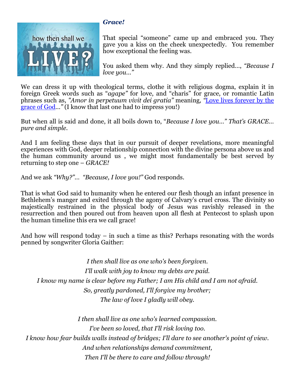

#### *Grace!*

That special "someone" came up and embraced you. They gave you a kiss on the cheek unexpectedly. You remember how exceptional the feeling was.

You asked them why. And they simply replied…, *"Because I love you…"* 

We can dress it up with theological terms, clothe it with religious dogma, explain it in foreign Greek words such as "*agape"* for love, and "charis" for grace, or romantic Latin phrases such as, *"Amor in perpetuum vivit dei gratia"* meaning*, "*Love lives forever by the grace of God*…"* (I know that last one had to impress you!)

But when all is said and done, it all boils down to, "*Because I love you…" That's GRACE… pure and simple.* 

And I am feeling these days that in our pursuit of deeper revelations, more meaningful experiences with God, deeper relationship connection with the divine persona above us and the human community around us , we might most fundamentally be best served by returning to step one – *GRACE!*

And we ask *"Why?"… "Because, I love you!"* God responds.

That is what God said to humanity when he entered our flesh though an infant presence in Bethlehem's manger and exited through the agony of Calvary's cruel cross. The divinity so majestically restrained in the physical body of Jesus was ravishly released in the resurrection and then poured out from heaven upon all flesh at Pentecost to splash upon the human timeline this era we call grace!

And how will respond today – in such a time as this? Perhaps resonating with the words penned by songwriter Gloria Gaither:

*I then shall live as one who's been forgiven. I'll walk with joy to know my debts are paid. I know my name is clear before my Father; I am His child and I am not afraid. So, greatly pardoned, I'll forgive my brother; The law of love I gladly will obey.* 

*I then shall live as one who's learned compassion. I've been so loved, that I'll risk loving too. I know how fear builds walls instead of bridges; I'll dare to see another's point of view. And when relationships demand commitment, Then I'll be there to care and follow through!*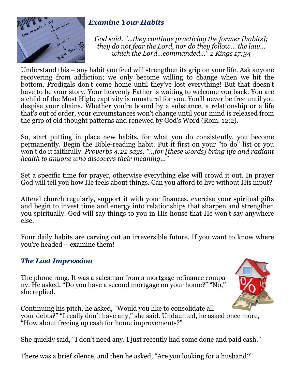

#### *Examine Your Habits*

*God said, "...they continue practicing the former [habits]; they do not fear the Lord, nor do they follow... the law... which the Lord...commanded..." 2 Kings 17:34* 

Understand this – any habit you feed will strengthen its grip on your life. Ask anyone recovering from addiction; we only become willing to change when we hit the bottom. Prodigals don't come home until they've lost everything! But that doesn't have to be your story. Your heavenly Father is waiting to welcome you back. You are a child of the Most High; captivity is unnatural for you. You'll never be free until you despise your chains. Whether you're bound by a substance, a relationship or a life that's out of order, your circumstances won't change until your mind is released from the grip of old thought patterns and renewed by God's Word (Rom. 12:2).

So, start putting in place new habits, for what you do consistently, you become permanently. Begin the Bible-reading habit. Put it first on your "to do" list or you won't do it faithfully. *Proverbs 4:22 says, "...for [these words] bring life and radiant health to anyone who discovers their meaning..."* 

Set a specific time for prayer, otherwise everything else will crowd it out. In prayer God will tell you how He feels about things. Can you afford to live without His input?

Attend church regularly, support it with your finances, exercise your spiritual gifts and begin to invest time and energy into relationships that sharpen and strengthen you spiritually. God will say things to you in His house that He won't say anywhere else.

Your daily habits are carving out an irreversible future. If you want to know where you're headed – examine them!

#### *The Last Impression*

The phone rang. It was a salesman from a mortgage refinance company. He asked, "Do you have a second mortgage on your home?" "No," she replied.



Continuing his pitch, he asked, "Would you like to consolidate all your debts?" "I really don't have any," she said. Undaunted, he asked once more, "How about freeing up cash for home improvements?"

She quickly said, "I don't need any. I just recently had some done and paid cash."

There was a brief silence, and then he asked, "Are you looking for a husband?"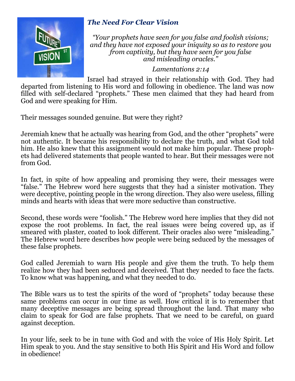

#### *The Need For Clear Vision*

*"Your prophets have seen for you false and foolish visions; and they have not exposed your iniquity so as to restore you from captivity, but they have seen for you false and misleading oracles."* 

#### *Lamentations 2:14*

Israel had strayed in their relationship with God. They had departed from listening to His word and following in obedience. The land was now filled with self-declared "prophets." These men claimed that they had heard from God and were speaking for Him.

Their messages sounded genuine. But were they right?

Jeremiah knew that he actually was hearing from God, and the other "prophets" were not authentic. It became his responsibility to declare the truth, and what God told him. He also knew that this assignment would not make him popular. These prophets had delivered statements that people wanted to hear. But their messages were not from God.

In fact, in spite of how appealing and promising they were, their messages were "false." The Hebrew word here suggests that they had a sinister motivation. They were deceptive, pointing people in the wrong direction. They also were useless, filling minds and hearts with ideas that were more seductive than constructive.

Second, these words were "foolish." The Hebrew word here implies that they did not expose the root problems. In fact, the real issues were being covered up, as if smeared with plaster, coated to look different. Their oracles also were "misleading." The Hebrew word here describes how people were being seduced by the messages of these false prophets.

God called Jeremiah to warn His people and give them the truth. To help them realize how they had been seduced and deceived. That they needed to face the facts. To know what was happening, and what they needed to do.

The Bible wars us to test the spirits of the word of "prophets" today because these same problems can occur in our time as well. How critical it is to remember that many deceptive messages are being spread throughout the land. That many who claim to speak for God are false prophets. That we need to be careful, on guard against deception.

In your life, seek to be in tune with God and with the voice of His Holy Spirit. Let Him speak to you. And the stay sensitive to both His Spirit and His Word and follow in obedience!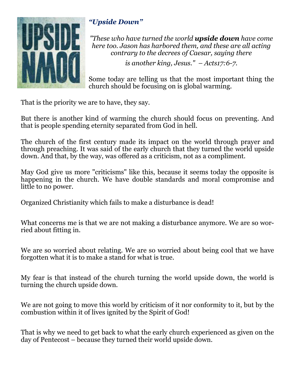

# *"Upside Down"*

*"These who have turned the world upside down have come here too. Jason has harbored them, and these are all acting contrary to the decrees of Caesar, saying there* 

*is another king, Jesus." – Acts17:6-7.* 

Some today are telling us that the most important thing the church should be focusing on is global warming.

That is the priority we are to have, they say.

But there is another kind of warming the church should focus on preventing. And that is people spending eternity separated from God in hell.

The church of the first century made its impact on the world through prayer and through preaching. It was said of the early church that they turned the world upside down. And that, by the way, was offered as a criticism, not as a compliment.

May God give us more "criticisms" like this, because it seems today the opposite is happening in the church. We have double standards and moral compromise and little to no power.

Organized Christianity which fails to make a disturbance is dead!

What concerns me is that we are not making a disturbance anymore. We are so worried about fitting in.

We are so worried about relating. We are so worried about being cool that we have forgotten what it is to make a stand for what is true.

My fear is that instead of the church turning the world upside down, the world is turning the church upside down.

We are not going to move this world by criticism of it nor conformity to it, but by the combustion within it of lives ignited by the Spirit of God!

That is why we need to get back to what the early church experienced as given on the day of Pentecost – because they turned their world upside down.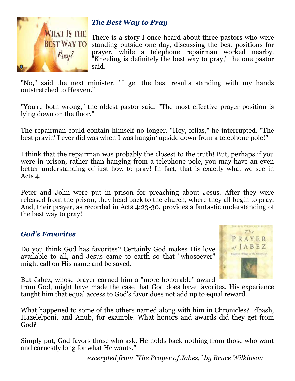

#### *The Best Way to Pray*

There is a story I once heard about three pastors who were standing outside one day, discussing the best positions for prayer, while a telephone repairman worked nearby. "Kneeling is definitely the best way to pray," the one pastor said.

"No," said the next minister. "I get the best results standing with my hands outstretched to Heaven."

"You're both wrong," the oldest pastor said. "The most effective prayer position is lying down on the floor."

The repairman could contain himself no longer. "Hey, fellas," he interrupted. "The best prayin' I ever did was when I was hangin' upside down from a telephone pole!"

I think that the repairman was probably the closest to the truth! But, perhaps if you were in prison, rather than hanging from a telephone pole, you may have an even better understanding of just how to pray! In fact, that is exactly what we see in Acts 4.

Peter and John were put in prison for preaching about Jesus. After they were released from the prison, they head back to the church, where they all begin to pray. And, their prayer, as recorded in Acts 4:23-30, provides a fantastic understanding of the best way to pray!

#### *God's Favorites*

Do you think God has favorites? Certainly God makes His love available to all, and Jesus came to earth so that "whosoever" might call on His name and be saved.



But Jabez, whose prayer earned him a "more honorable" award

from God, might have made the case that God does have favorites. His experience taught him that equal access to God's favor does not add up to equal reward.

What happened to some of the others named along with him in Chronicles? Idbash, Hazelelponi, and Anub, for example. What honors and awards did they get from God?

Simply put, God favors those who ask. He holds back nothing from those who want and earnestly long for what He wants."

*excerpted from "The Prayer of Jabez," by Bruce Wilkinson*